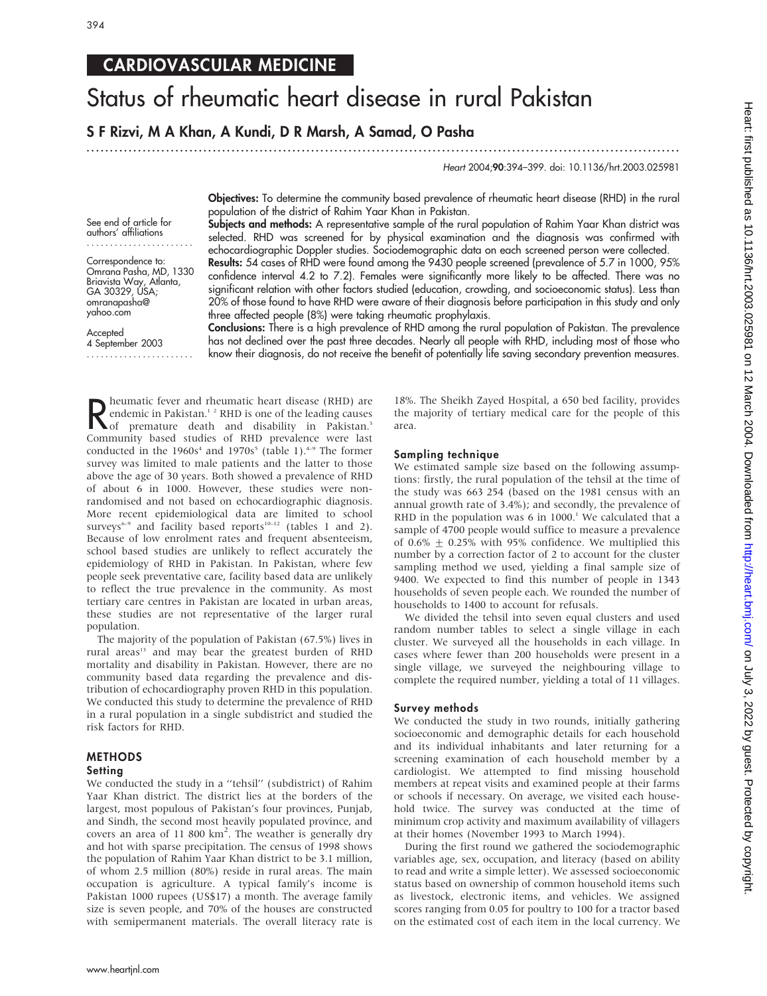## CARDIOVASCULAR MEDICINE

# Status of rheumatic heart disease in rural Pakistan

S F Rizvi, M A Khan, A Kundi, D R Marsh, A Samad, O Pasha

.............................................................................................................................. .

Heart 2004;90:394–399. doi: 10.1136/hrt.2003.025981

See end of article for authors' affiliations .......................

Correspondence to: Omrana Pasha, MD, 1330 Briavista Way, Atlanta, GA 30329, USA; omranapasha@ yahoo.com

**Accepted** 4 September 2003 ....................... Objectives: To determine the community based prevalence of rheumatic heart disease (RHD) in the rural population of the district of Rahim Yaar Khan in Pakistan.

Subjects and methods: A representative sample of the rural population of Rahim Yaar Khan district was selected. RHD was screened for by physical examination and the diagnosis was confirmed with echocardiographic Doppler studies. Sociodemographic data on each screened person were collected. Results: 54 cases of RHD were found among the 9430 people screened (prevalence of 5.7 in 1000, 95% confidence interval 4.2 to 7.2). Females were significantly more likely to be affected. There was no significant relation with other factors studied (education, crowding, and socioeconomic status). Less than 20% of those found to have RHD were aware of their diagnosis before participation in this study and only three affected people (8%) were taking rheumatic prophylaxis.

Conclusions: There is a high prevalence of RHD among the rural population of Pakistan. The prevalence has not declined over the past three decades. Nearly all people with RHD, including most of those who know their diagnosis, do not receive the benefit of potentially life saving secondary prevention measures.

R heumatic fever and rheumatic heart disease (RHD) are<br> **R** endemic in Pakistan.<sup>3</sup> RHD is one of the leading causes<br>
of premature death and disability in Pakistan.<sup>3</sup><br>
Community based studies of RHD prevalence were last **D** heumatic fever and rheumatic heart disease (RHD) are endemic in Pakistan.<sup>12</sup> RHD is one of the leading causes Community based studies of RHD prevalence were last conducted in the  $1960s<sup>4</sup>$  and  $1970s<sup>5</sup>$  (table 1).<sup>4-9</sup> The former survey was limited to male patients and the latter to those above the age of 30 years. Both showed a prevalence of RHD of about 6 in 1000. However, these studies were nonrandomised and not based on echocardiographic diagnosis. More recent epidemiological data are limited to school surveys<sup>6-9</sup> and facility based reports<sup>10-12</sup> (tables 1 and 2). Because of low enrolment rates and frequent absenteeism, school based studies are unlikely to reflect accurately the epidemiology of RHD in Pakistan. In Pakistan, where few people seek preventative care, facility based data are unlikely to reflect the true prevalence in the community. As most tertiary care centres in Pakistan are located in urban areas, these studies are not representative of the larger rural population.

The majority of the population of Pakistan (67.5%) lives in rural areas<sup>13</sup> and may bear the greatest burden of RHD mortality and disability in Pakistan. However, there are no community based data regarding the prevalence and distribution of echocardiography proven RHD in this population. We conducted this study to determine the prevalence of RHD in a rural population in a single subdistrict and studied the risk factors for RHD.

#### METHODS **Setting**

We conducted the study in a "tehsil" (subdistrict) of Rahim Yaar Khan district. The district lies at the borders of the largest, most populous of Pakistan's four provinces, Punjab, and Sindh, the second most heavily populated province, and covers an area of 11 800 km<sup>2</sup>. The weather is generally dry and hot with sparse precipitation. The census of 1998 shows the population of Rahim Yaar Khan district to be 3.1 million, of whom 2.5 million (80%) reside in rural areas. The main occupation is agriculture. A typical family's income is Pakistan 1000 rupees (US\$17) a month. The average family size is seven people, and 70% of the houses are constructed with semipermanent materials. The overall literacy rate is 18%. The Sheikh Zayed Hospital, a 650 bed facility, provides the majority of tertiary medical care for the people of this area.

#### Sampling technique

We estimated sample size based on the following assumptions: firstly, the rural population of the tehsil at the time of the study was 663 254 (based on the 1981 census with an annual growth rate of 3.4%); and secondly, the prevalence of RHD in the population was 6 in  $1000$ .<sup>1</sup> We calculated that a sample of 4700 people would suffice to measure a prevalence of 0.6%  $\pm$  0.25% with 95% confidence. We multiplied this number by a correction factor of 2 to account for the cluster sampling method we used, yielding a final sample size of 9400. We expected to find this number of people in 1343 households of seven people each. We rounded the number of households to 1400 to account for refusals.

We divided the tehsil into seven equal clusters and used random number tables to select a single village in each cluster. We surveyed all the households in each village. In cases where fewer than 200 households were present in a single village, we surveyed the neighbouring village to complete the required number, yielding a total of 11 villages.

#### Survey methods

We conducted the study in two rounds, initially gathering socioeconomic and demographic details for each household and its individual inhabitants and later returning for a screening examination of each household member by a cardiologist. We attempted to find missing household members at repeat visits and examined people at their farms or schools if necessary. On average, we visited each household twice. The survey was conducted at the time of minimum crop activity and maximum availability of villagers at their homes (November 1993 to March 1994).

During the first round we gathered the sociodemographic variables age, sex, occupation, and literacy (based on ability to read and write a simple letter). We assessed socioeconomic status based on ownership of common household items such as livestock, electronic items, and vehicles. We assigned scores ranging from 0.05 for poultry to 100 for a tractor based on the estimated cost of each item in the local currency. We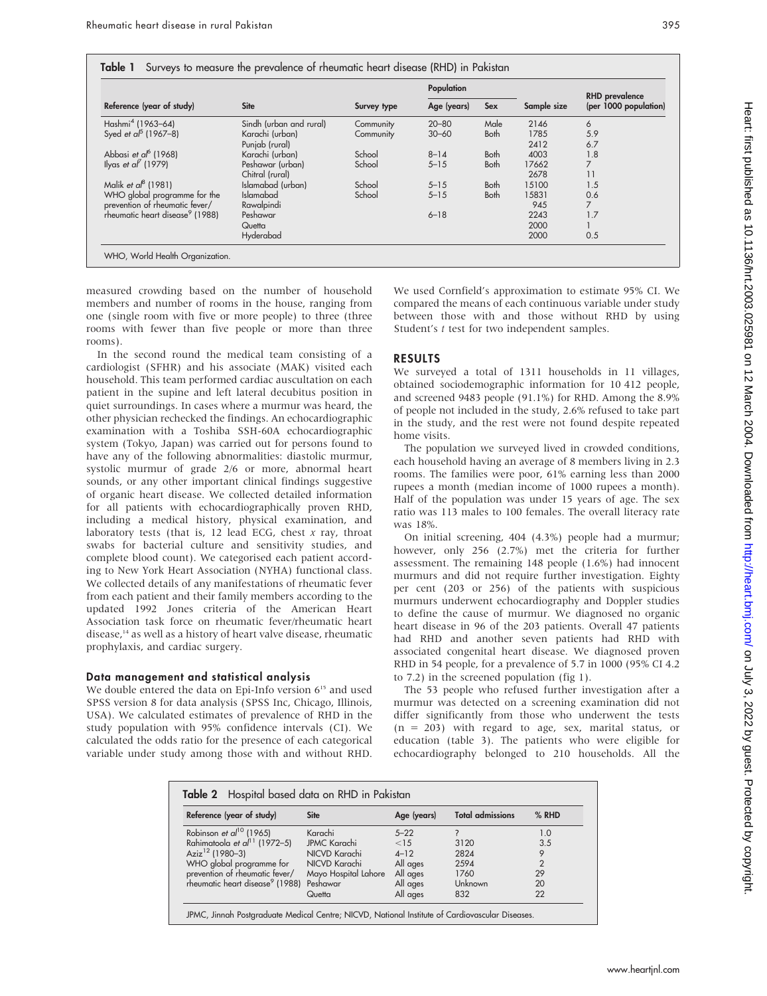| Reference (year of study)                   | <b>Site</b>             | Survey type | Population  |             |             | <b>RHD</b> prevalence |
|---------------------------------------------|-------------------------|-------------|-------------|-------------|-------------|-----------------------|
|                                             |                         |             | Age (years) | <b>Sex</b>  | Sample size | (per 1000 population) |
| Hashmi <sup>4</sup> (1963-64)               | Sindh (urban and rural) | Community   | $20 - 80$   | Male        | 2146        | 6                     |
| Syed et $a^{5}$ (1967–8)                    | Karachi (urban)         | Community   | $30 - 60$   | <b>Both</b> | 1785        | 5.9                   |
|                                             | Punjab (rural)          |             |             |             | 2412        | 6.7                   |
| Abbasi et al $(1968)$                       | Karachi (urban)         | School      | $8 - 14$    | <b>Both</b> | 4003        | 1.8                   |
| Ilyas et al $(1979)$                        | Peshawar (urban)        | School      | $5 - 15$    | <b>Both</b> | 17662       | 7                     |
|                                             | Chitral (rural)         |             |             |             | 2678        | 11                    |
| Malik et a $\beta$ (1981)                   | Islamabad (urban)       | School      | $5 - 15$    | <b>Both</b> | 15100       | 1.5                   |
| WHO global programme for the                | <b>Islamabad</b>        | School      | $5 - 15$    | <b>Both</b> | 15831       | 0.6                   |
| prevention of rheumatic fever/              | Rawalpindi              |             |             |             | 945         | 7                     |
| rheumatic heart disease <sup>9</sup> (1988) | Peshawar                |             | $6 - 18$    |             | 2243        | 1.7                   |
|                                             | Quetta                  |             |             |             | 2000        |                       |
|                                             | Hyderabad               |             |             |             | 2000        | 0.5                   |

measured crowding based on the number of household members and number of rooms in the house, ranging from one (single room with five or more people) to three (three rooms with fewer than five people or more than three rooms).

In the second round the medical team consisting of a cardiologist (SFHR) and his associate (MAK) visited each household. This team performed cardiac auscultation on each patient in the supine and left lateral decubitus position in quiet surroundings. In cases where a murmur was heard, the other physician rechecked the findings. An echocardiographic examination with a Toshiba SSH-60A echocardiographic system (Tokyo, Japan) was carried out for persons found to have any of the following abnormalities: diastolic murmur, systolic murmur of grade 2/6 or more, abnormal heart sounds, or any other important clinical findings suggestive of organic heart disease. We collected detailed information for all patients with echocardiographically proven RHD, including a medical history, physical examination, and laboratory tests (that is,  $12$  lead ECG, chest x ray, throat swabs for bacterial culture and sensitivity studies, and complete blood count). We categorised each patient according to New York Heart Association (NYHA) functional class. We collected details of any manifestations of rheumatic fever from each patient and their family members according to the updated 1992 Jones criteria of the American Heart Association task force on rheumatic fever/rheumatic heart disease,<sup>14</sup> as well as a history of heart valve disease, rheumatic prophylaxis, and cardiac surgery.

#### Data management and statistical analysis

We double entered the data on Epi-Info version  $6^{15}$  and used SPSS version 8 for data analysis (SPSS Inc, Chicago, Illinois, USA). We calculated estimates of prevalence of RHD in the study population with 95% confidence intervals (CI). We calculated the odds ratio for the presence of each categorical variable under study among those with and without RHD.

We used Cornfield's approximation to estimate 95% CI. We compared the means of each continuous variable under study between those with and those without RHD by using Student's *t* test for two independent samples.

#### RESULTS

We surveyed a total of 1311 households in 11 villages, obtained sociodemographic information for 10 412 people, and screened 9483 people (91.1%) for RHD. Among the 8.9% of people not included in the study, 2.6% refused to take part in the study, and the rest were not found despite repeated home visits.

The population we surveyed lived in crowded conditions, each household having an average of 8 members living in 2.3 rooms. The families were poor, 61% earning less than 2000 rupees a month (median income of 1000 rupees a month). Half of the population was under 15 years of age. The sex ratio was 113 males to 100 females. The overall literacy rate was 18%.

On initial screening, 404 (4.3%) people had a murmur; however, only 256 (2.7%) met the criteria for further assessment. The remaining 148 people (1.6%) had innocent murmurs and did not require further investigation. Eighty per cent (203 or 256) of the patients with suspicious murmurs underwent echocardiography and Doppler studies to define the cause of murmur. We diagnosed no organic heart disease in 96 of the 203 patients. Overall 47 patients had RHD and another seven patients had RHD with associated congenital heart disease. We diagnosed proven RHD in 54 people, for a prevalence of 5.7 in 1000 (95% CI 4.2 to 7.2) in the screened population (fig 1).

The 53 people who refused further investigation after a murmur was detected on a screening examination did not differ significantly from those who underwent the tests (n = 203) with regard to age, sex, marital status, or education (table 3). The patients who were eligible for echocardiography belonged to 210 households. All the

| Reference (year of study)                            | <b>Site</b>          | Age (years) | <b>Total admissions</b> | $%$ RHD        |
|------------------------------------------------------|----------------------|-------------|-------------------------|----------------|
| Robinson et al <sup>10</sup> (1965)                  | Karachi              | $5 - 22$    |                         | 1.0            |
| Rahimatoola et al <sup>11</sup> (1972–5)             | <b>JPMC Karachi</b>  | <15         | 3120                    | 3.5            |
| Aziz <sup>12</sup> (1980-3)                          | NICVD Karachi        | $4 - 12$    | 2824                    | 9              |
| WHO global programme for                             | NICVD Karachi        | All ages    | 2594                    | $\overline{2}$ |
| prevention of rheumatic fever/                       | Mayo Hospital Lahore | All ages    | 1760                    | 29             |
| rheumatic heart disease <sup>9</sup> (1988) Peshawar |                      | All ages    | Unknown                 | 20             |
|                                                      | Quetta               | All ages    | 832                     | 22             |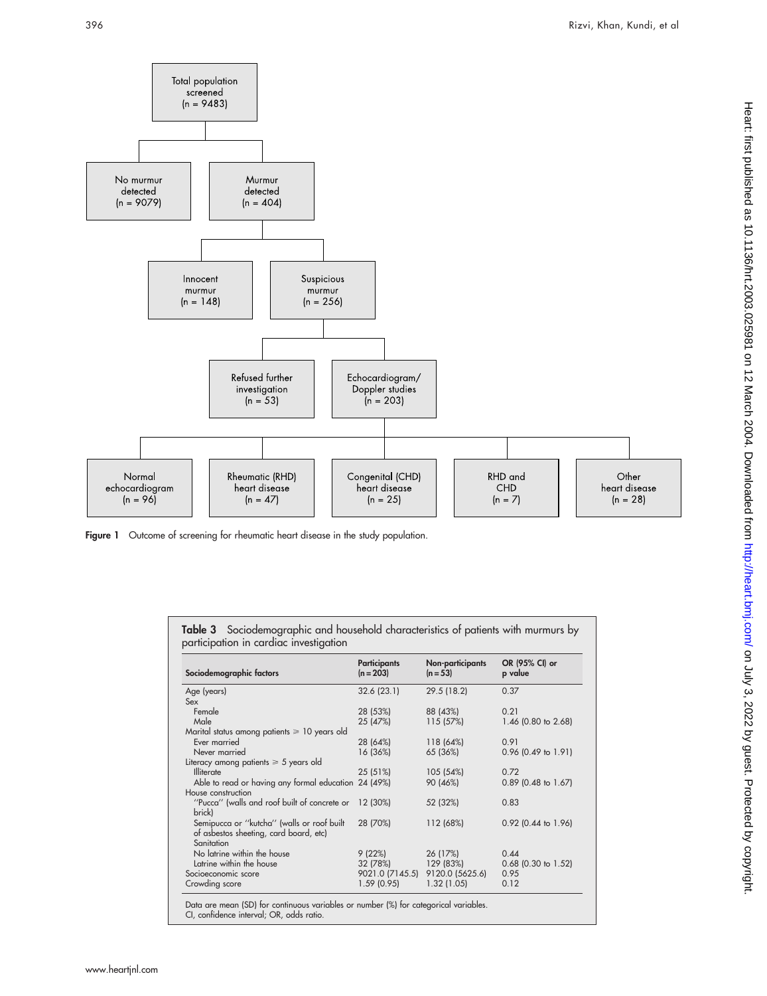

Figure 1 Outcome of screening for rheumatic heart disease in the study population.

| Table 3 Sociodemographic and household characteristics of patients with murmurs by |
|------------------------------------------------------------------------------------|
| participation in cardiac investigation                                             |

| Sociodemographic factors                          | <b>Participants</b><br>$(n = 203)$ | Non-participants<br>$(n = 53)$ | OR (95% CI) or<br>p value |
|---------------------------------------------------|------------------------------------|--------------------------------|---------------------------|
| Age (years)                                       | 32.6 (23.1)                        | 29.5 (18.2)                    | 0.37                      |
| Sex                                               |                                    |                                |                           |
| Female                                            | 28 (53%)                           | 88 (43%)                       | 0.21                      |
| Male                                              | 25 (47%)                           | 115(57%)                       | 1.46 (0.80 to 2.68)       |
| Marital status among patients $\geq 10$ years old |                                    |                                |                           |
| Ever married                                      | 28 (64%)                           | 118 (64%)                      | 0.91                      |
| Never married                                     | 16 (36%)                           | 65 (36%)                       | $0.96$ (0.49 to 1.91)     |
| Literacy among patients $\geq 5$ years old        |                                    |                                |                           |
| <b>Illiterate</b>                                 | 25 (51%)                           | 105 (54%)                      | 0.72                      |
| Able to read or having any formal education       | 24 (49%)                           | 90 (46%)                       | $0.89$ (0.48 to 1.67)     |
| House construction                                |                                    |                                |                           |
| "Pucca" (walls and roof built of concrete or      | 12 (30%)                           | 52 (32%)                       | 0.83                      |
| brick)                                            |                                    |                                |                           |
| Semipucca or "kutcha" (walls or roof built        | 28 (70%)                           | 112 (68%)                      | $0.92$ (0.44 to 1.96)     |
| of asbestos sheeting, card board, etc)            |                                    |                                |                           |
| Sanitation                                        |                                    |                                |                           |
| No latrine within the house                       | 9(22%)                             | 26 (17%)                       | 0.44                      |
| Latrine within the house                          | 32 (78%)                           | 129 (83%)                      | $0.68$ (0.30 to 1.52)     |
| Socioeconomic score                               | 9021.0 (7145.5)                    | 9120.0 (5625.6)                | 0.95                      |
| Crowding score                                    | 1.59(0.95)                         | 1.32(1.05)                     | 0.12                      |

Data are mean (SD) for continuous variables or number (%) for categorical variables. CI, confidence interval; OR, odds ratio.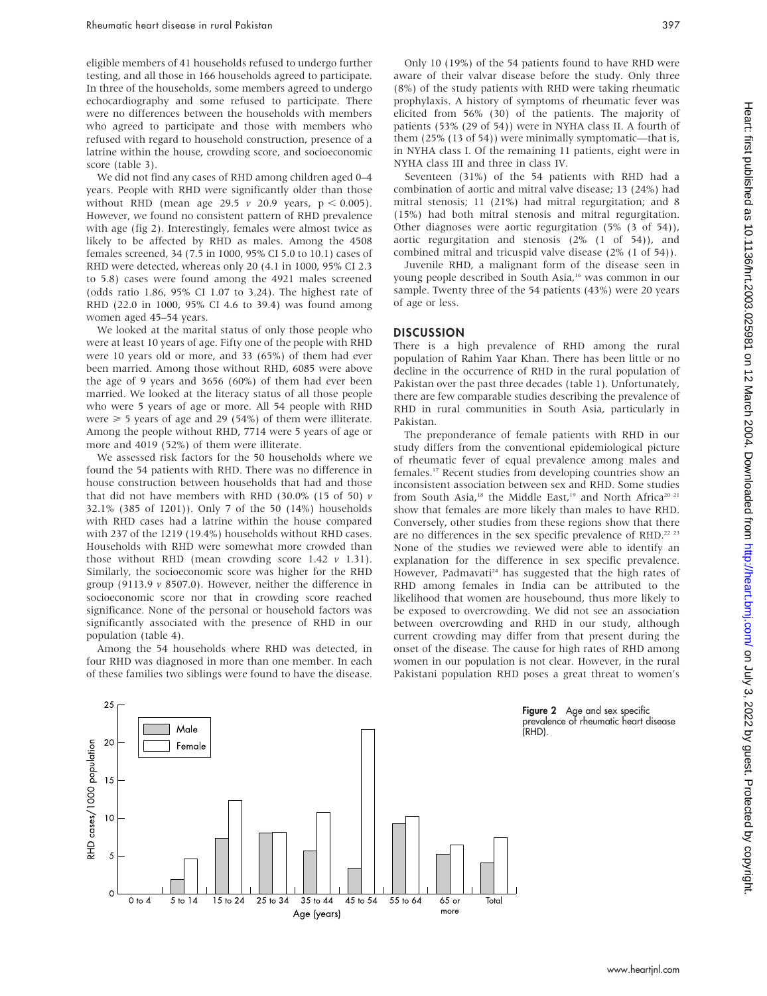eligible members of 41 households refused to undergo further testing, and all those in 166 households agreed to participate. In three of the households, some members agreed to undergo echocardiography and some refused to participate. There were no differences between the households with members who agreed to participate and those with members who refused with regard to household construction, presence of a latrine within the house, crowding score, and socioeconomic score (table 3).

We did not find any cases of RHD among children aged 0–4 years. People with RHD were significantly older than those without RHD (mean age 29.5  $\nu$  20.9 years,  $p < 0.005$ ). However, we found no consistent pattern of RHD prevalence with age (fig 2). Interestingly, females were almost twice as likely to be affected by RHD as males. Among the 4508 females screened, 34 (7.5 in 1000, 95% CI 5.0 to 10.1) cases of RHD were detected, whereas only 20 (4.1 in 1000, 95% CI 2.3 to 5.8) cases were found among the 4921 males screened (odds ratio 1.86, 95% CI 1.07 to 3.24). The highest rate of RHD (22.0 in 1000, 95% CI 4.6 to 39.4) was found among women aged 45–54 years.

We looked at the marital status of only those people who were at least 10 years of age. Fifty one of the people with RHD were 10 years old or more, and 33 (65%) of them had ever been married. Among those without RHD, 6085 were above the age of 9 years and 3656 (60%) of them had ever been married. We looked at the literacy status of all those people who were 5 years of age or more. All 54 people with RHD were  $\geq$  5 years of age and 29 (54%) of them were illiterate. Among the people without RHD, 7714 were 5 years of age or more and 4019 (52%) of them were illiterate.

We assessed risk factors for the 50 households where we found the 54 patients with RHD. There was no difference in house construction between households that had and those that did not have members with RHD (30.0% (15 of 50)  $\nu$ 32.1% (385 of 1201)). Only 7 of the 50 (14%) households with RHD cases had a latrine within the house compared with 237 of the 1219 (19.4%) households without RHD cases. Households with RHD were somewhat more crowded than those without RHD (mean crowding score 1.42  $\nu$  1.31). Similarly, the socioeconomic score was higher for the RHD group (9113.9  $\nu$  8507.0). However, neither the difference in socioeconomic score nor that in crowding score reached significance. None of the personal or household factors was significantly associated with the presence of RHD in our population (table 4).

Among the 54 households where RHD was detected, in four RHD was diagnosed in more than one member. In each of these families two siblings were found to have the disease.

Only 10 (19%) of the 54 patients found to have RHD were aware of their valvar disease before the study. Only three (8%) of the study patients with RHD were taking rheumatic prophylaxis. A history of symptoms of rheumatic fever was elicited from 56% (30) of the patients. The majority of patients (53% (29 of 54)) were in NYHA class II. A fourth of them (25% (13 of 54)) were minimally symptomatic—that is, in NYHA class I. Of the remaining 11 patients, eight were in NYHA class III and three in class IV.

Seventeen (31%) of the 54 patients with RHD had a combination of aortic and mitral valve disease; 13 (24%) had mitral stenosis; 11 (21%) had mitral regurgitation; and 8 (15%) had both mitral stenosis and mitral regurgitation. Other diagnoses were aortic regurgitation (5% (3 of 54)), aortic regurgitation and stenosis (2% (1 of 54)), and combined mitral and tricuspid valve disease (2% (1 of 54)).

Juvenile RHD, a malignant form of the disease seen in young people described in South Asia,16 was common in our sample. Twenty three of the 54 patients (43%) were 20 years of age or less.

#### **DISCUSSION**

There is a high prevalence of RHD among the rural population of Rahim Yaar Khan. There has been little or no decline in the occurrence of RHD in the rural population of Pakistan over the past three decades (table 1). Unfortunately, there are few comparable studies describing the prevalence of RHD in rural communities in South Asia, particularly in Pakistan.

The preponderance of female patients with RHD in our study differs from the conventional epidemiological picture of rheumatic fever of equal prevalence among males and females.17 Recent studies from developing countries show an inconsistent association between sex and RHD. Some studies from South Asia,<sup>18</sup> the Middle East,<sup>19</sup> and North Africa<sup>20 21</sup> show that females are more likely than males to have RHD. Conversely, other studies from these regions show that there are no differences in the sex specific prevalence of RHD.<sup>22 23</sup> None of the studies we reviewed were able to identify an explanation for the difference in sex specific prevalence. However, Padmavati<sup>24</sup> has suggested that the high rates of RHD among females in India can be attributed to the likelihood that women are housebound, thus more likely to be exposed to overcrowding. We did not see an association between overcrowding and RHD in our study, although current crowding may differ from that present during the onset of the disease. The cause for high rates of RHD among women in our population is not clear. However, in the rural Pakistani population RHD poses a great threat to women's



Figure 2 Age and sex specific prevalence of rheumatic heart disease (RHD).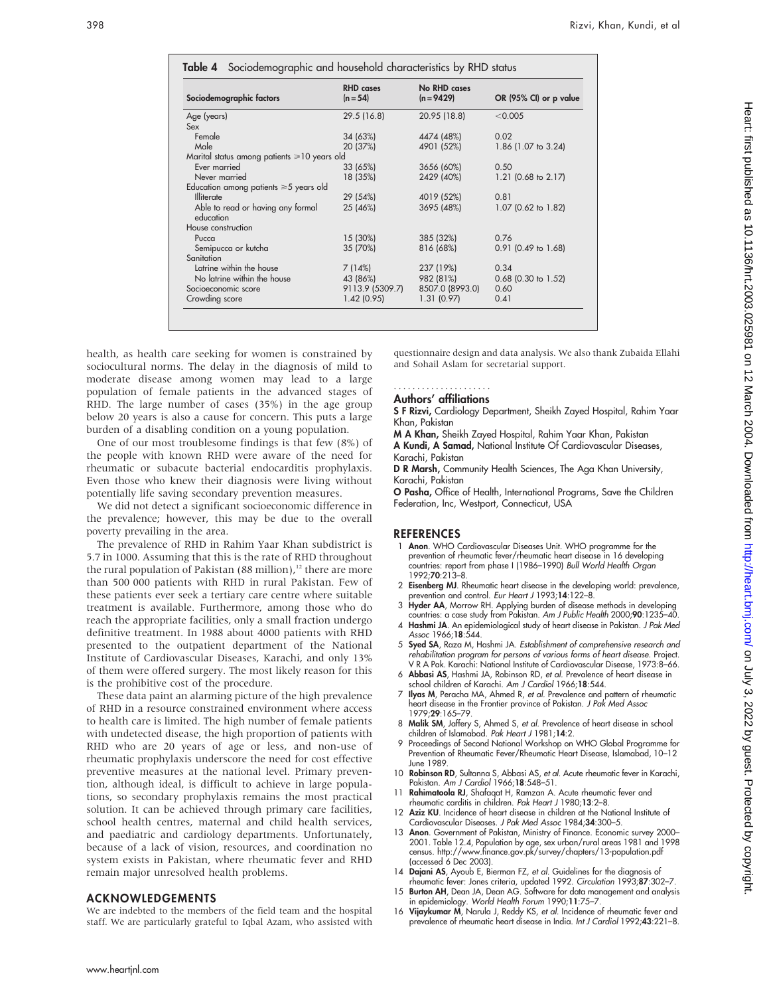|                                                   | <b>RHD</b> cases | No RHD cases    |                        |
|---------------------------------------------------|------------------|-----------------|------------------------|
| Sociodemographic factors                          | $(n = 54)$       | $(n = 9429)$    | OR (95% CI) or p value |
| Age (years)                                       | 29.5 (16.8)      | 20.95 (18.8)    | < 0.005                |
| Sex                                               |                  |                 |                        |
| Female                                            | 34 (63%)         | 4474 (48%)      | 0.02                   |
| Male                                              | 20 (37%)         | 4901 (52%)      | 1.86 (1.07 to 3.24)    |
| Marital status among patients $\geq 10$ years old |                  |                 |                        |
| Ever married                                      | 33 (65%)         | 3656 (60%)      | 0.50                   |
| Never married                                     | 18 (35%)         | 2429 (40%)      | 1.21 (0.68 to 2.17)    |
| Education among patients $\geq 5$ years old       |                  |                 |                        |
| Illiterate                                        | 29 (54%)         | 4019 (52%)      | 0.81                   |
| Able to read or having any formal<br>education    | 25 (46%)         | 3695 (48%)      | 1.07 (0.62 to 1.82)    |
| House construction                                |                  |                 |                        |
| Pucca                                             | 15 (30%)         | 385 (32%)       | 0.76                   |
| Semipucca or kutcha                               | 35 (70%)         | 816 (68%)       | $0.91$ (0.49 to 1.68)  |
| Sanitation                                        |                  |                 |                        |
| Latrine within the house                          | 7(14%)           | 237 (19%)       | 0.34                   |
| No latrine within the house                       | 43 (86%)         | 982 (81%)       | $0.68$ (0.30 to 1.52)  |
| Socioeconomic score                               | 9113.9 (5309.7)  | 8507.0 (8993.0) | 0.60                   |
| Crowding score                                    | 1.42(0.95)       | 1.31(0.97)      | 0.41                   |

health, as health care seeking for women is constrained by sociocultural norms. The delay in the diagnosis of mild to moderate disease among women may lead to a large population of female patients in the advanced stages of RHD. The large number of cases (35%) in the age group below 20 years is also a cause for concern. This puts a large burden of a disabling condition on a young population.

One of our most troublesome findings is that few (8%) of the people with known RHD were aware of the need for rheumatic or subacute bacterial endocarditis prophylaxis. Even those who knew their diagnosis were living without potentially life saving secondary prevention measures.

We did not detect a significant socioeconomic difference in the prevalence; however, this may be due to the overall poverty prevailing in the area.

The prevalence of RHD in Rahim Yaar Khan subdistrict is 5.7 in 1000. Assuming that this is the rate of RHD throughout the rural population of Pakistan  $(88 \text{ million})$ ,<sup>12</sup> there are more than 500 000 patients with RHD in rural Pakistan. Few of these patients ever seek a tertiary care centre where suitable treatment is available. Furthermore, among those who do reach the appropriate facilities, only a small fraction undergo definitive treatment. In 1988 about 4000 patients with RHD presented to the outpatient department of the National Institute of Cardiovascular Diseases, Karachi, and only 13% of them were offered surgery. The most likely reason for this is the prohibitive cost of the procedure.

These data paint an alarming picture of the high prevalence of RHD in a resource constrained environment where access to health care is limited. The high number of female patients with undetected disease, the high proportion of patients with RHD who are 20 years of age or less, and non-use of rheumatic prophylaxis underscore the need for cost effective preventive measures at the national level. Primary prevention, although ideal, is difficult to achieve in large populations, so secondary prophylaxis remains the most practical solution. It can be achieved through primary care facilities, school health centres, maternal and child health services, and paediatric and cardiology departments. Unfortunately, because of a lack of vision, resources, and coordination no system exists in Pakistan, where rheumatic fever and RHD remain major unresolved health problems.

#### ACKNOWLEDGEMENTS

We are indebted to the members of the field team and the hospital staff. We are particularly grateful to Iqbal Azam, who assisted with

questionnaire design and data analysis. We also thank Zubaida Ellahi and Sohail Aslam for secretarial support.

#### Authors' affiliations .....................

S F Rizvi, Cardiology Department, Sheikh Zayed Hospital, Rahim Yaar Khan, Pakistan

M A Khan, Sheikh Zayed Hospital, Rahim Yaar Khan, Pakistan A Kundi, A Samad, National Institute Of Cardiovascular Diseases,

Karachi, Pakistan D R Marsh, Community Health Sciences, The Aga Khan University, Karachi, Pakistan

O Pasha, Office of Health, International Programs, Save the Children Federation, Inc, Westport, Connecticut, USA

#### **REFERENCES**

- 1 Anon. WHO Cardiovascular Diseases Unit. WHO programme for the prevention of rheumatic fever/rheumatic heart disease in 16 developing countries: report from phase I (1986–1990) Bull World Health Organ  $1992.70.213 - 8$
- 2 Eisenberg MJ. Rheumatic heart disease in the developing world: prevalence, prevention and control. Eur Heart J 1993;14:122-8.
- 3 Hyder AA, Morrow RH. Applying burden of disease methods in developing countries: a case study from Pakistan. Am J Public Health 2000;90:1235–40.
- 4 Hashmi JA. An epidemiological study of heart disease in Pakistan. J Pak Med Assoc 1966;18:544.
- 5 Syed SA, Raza M, Hashmi JA. Establishment of comprehensive research and rehabilitation program for persons of various forms of heart disease. Project. V R A Pak. Karachi: National Institute of Cardiovascular Disease, 1973:8–66.
- 6 Abbasi AS, Hashmi JA, Robinson RD, et al. Prevalence of heart disease in school children of Karachi. Am J Cardiol 1966;18:544.
- 7 Ilyas M, Peracha MA, Ahmed R, et al. Prevalence and pattern of rheumatic heart disease in the Frontier province of Pakistan. J Pak Med Assoc 1979;29:165–79.
- 8 Malik SM, Jaffery S, Ahmed S, et al. Prevalence of heart disease in school children of Islamabad. Pak Heart J 1981;14:2.
- 9 Proceedings of Second National Workshop on WHO Global Programme for Prevention of Rheumatic Fever/Rheumatic Heart Disease, Islamabad, 10–12 June 1989.
- 10 Robinson RD, Sultanna S, Abbasi AS, et al. Acute rheumatic fever in Karachi, Pakistan. Am J Cardiol 1966;18:548–51.
- 11 Rahimatoola RJ, Shafaqat H, Ramzan A. Acute rheumatic fever and rheumatic carditis in children. Pak Heart J 1980;13:2–8.
- 12 Aziz KU. Incidence of heart disease in children at the National Institute of Cardiovascular Diseases. J Pak Med Assoc 1984;34:300-5.
- 13 Anon. Government of Pakistan, Ministry of Finance. Economic survey 2000– 2001. Table 12.4, Population by age, sex urban/rural areas 1981 and 1998 census. http://www.finance.gov.pk/survey/chapters/13-population.pdf (accessed 6 Dec 2003).
- 14 Dajani AS, Ayoub E, Bierman FZ, et al. Guidelines for the diagnosis of
- rheumatic fever: Jones criteria, updated 1992. Circulation 1993;87:302–7. 15 Burton AH, Dean JA, Dean AG. Software for data management and analysis
- in epidemiology. World Health Forum 1990;11:75–7. 16 Vijaykumar M, Narula J, Reddy KS, et al. Incidence of rheumatic fever and prevalence of rheumatic heart disease in India. Int J Cardiol 1992;43:221–8.